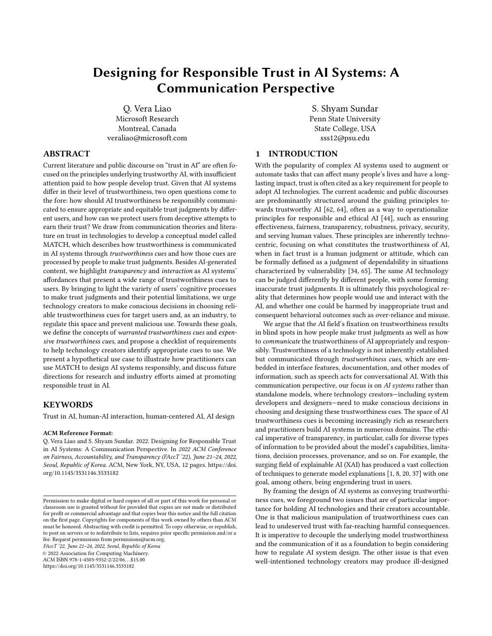# Designing for Responsible Trust in AI Systems: A Communication Perspective

Q. Vera Liao Microsoft Research Montreal, Canada veraliao@microsoft.com

### ABSTRACT

Current literature and public discourse on "trust in AI" are often focused on the principles underlying trustworthy AI, with insufficient attention paid to how people develop trust. Given that AI systems differ in their level of trustworthiness, two open questions come to the fore: how should AI trustworthiness be responsibly communicated to ensure appropriate and equitable trust judgments by different users, and how can we protect users from deceptive attempts to earn their trust? We draw from communication theories and literature on trust in technologies to develop a conceptual model called MATCH, which describes how trustworthiness is communicated in AI systems through trustworthiness cues and how those cues are processed by people to make trust judgments. Besides AI-generated content, we highlight transparency and interaction as AI systems' affordances that present a wide range of trustworthiness cues to users. By bringing to light the variety of users' cognitive processes to make trust judgments and their potential limitations, we urge technology creators to make conscious decisions in choosing reliable trustworthiness cues for target users and, as an industry, to regulate this space and prevent malicious use. Towards these goals, we define the concepts of warranted trustworthiness cues and expensive trustworthiness cues, and propose a checklist of requirements to help technology creators identify appropriate cues to use. We present a hypothetical use case to illustrate how practitioners can use MATCH to design AI systems responsibly, and discuss future directions for research and industry efforts aimed at promoting responsible trust in AI.

#### KEYWORDS

Trust in AI, human-AI interaction, human-centered AI, AI design

#### ACM Reference Format:

Q. Vera Liao and S. Shyam Sundar. 2022. Designing for Responsible Trust in AI Systems: A Communication Perspective. In 2022 ACM Conference on Fairness, Accountability, and Transparency (FAccT '22), June 21–24, 2022, Seoul, Republic of Korea. ACM, New York, NY, USA, [12](#page-11-0) pages. [https://doi.](https://doi.org/10.1145/3531146.3533182) [org/10.1145/3531146.3533182](https://doi.org/10.1145/3531146.3533182)

FAccT '22, June 21–24, 2022, Seoul, Republic of Korea

© 2022 Association for Computing Machinery.

ACM ISBN 978-1-4503-9352-2/22/06. . . \$15.00 <https://doi.org/10.1145/3531146.3533182>

S. Shyam Sundar Penn State University State College, USA sss12@psu.edu

## 1 INTRODUCTION

With the popularity of complex AI systems used to augment or automate tasks that can affect many people's lives and have a longlasting impact, trust is often cited as a key requirement for people to adopt AI technologies. The current academic and public discourses are predominantly structured around the guiding principles towards trustworthy AI [\[62,](#page-11-1) [64\]](#page-11-2), often as a way to operationalize principles for responsible and ethical AI [\[44\]](#page-11-3), such as ensuring effectiveness, fairness, transparency, robustness, privacy, security, and serving human values. These principles are inherently technocentric, focusing on what constitutes the trustworthiness of AI, when in fact trust is a human judgment or attitude, which can be formally defined as a judgment of dependability in situations characterized by vulnerability [\[34,](#page-11-4) [65\]](#page-11-5). The same AI technology can be judged differently by different people, with some forming inaccurate trust judgments. It is ultimately this psychological reality that determines how people would use and interact with the AI, and whether one could be harmed by inappropriate trust and consequent behavioral outcomes such as over-reliance and misuse.

We argue that the AI field's fixation on trustworthiness results in blind spots in how people make trust judgments as well as how to communicate the trustworthiness of AI appropriately and responsibly. Trustworthiness of a technology is not inherently established but communicated through trustworthiness cues, which are embedded in interface features, documentation, and other modes of information, such as speech acts for conversational AI. With this communication perspective, our focus is on AI systems rather than standalone models, where technology creators—including system developers and designers—need to make conscious decisions in choosing and designing these trustworthiness cues. The space of AI trustworthiness cues is becoming increasingly rich as researchers and practitioners build AI systems in numerous domains. The ethical imperative of transparency, in particular, calls for diverse types of information to be provided about the model's capabilities, limitations, decision processes, provenance, and so on. For example, the surging field of explainable AI (XAI) has produced a vast collection of techniques to generate model explanations [\[1,](#page-10-0) [8,](#page-10-1) [20,](#page-10-2) [37\]](#page-11-6) with one goal, among others, being engendering trust in users.

By framing the design of AI systems as conveying trustworthiness cues, we foreground two issues that are of particular importance for holding AI technologies and their creators accountable. One is that malicious manipulation of trustworthiness cues can lead to undeserved trust with far-reaching harmful consequences. It is imperative to decouple the underlying model trustworthiness and the communication of it as a foundation to begin considering how to regulate AI system design. The other issue is that even well-intentioned technology creators may produce ill-designed

Permission to make digital or hard copies of all or part of this work for personal or classroom use is granted without fee provided that copies are not made or distributed for profit or commercial advantage and that copies bear this notice and the full citation on the first page. Copyrights for components of this work owned by others than ACM must be honored. Abstracting with credit is permitted. To copy otherwise, or republish, to post on servers or to redistribute to lists, requires prior specific permission and/or a fee. Request permissions from permissions@acm.org.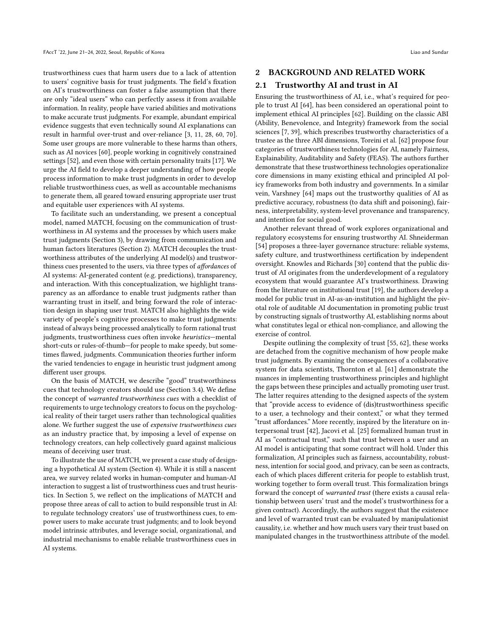trustworthiness cues that harm users due to a lack of attention to users' cognitive basis for trust judgments. The field's fixation on AI's trustworthiness can foster a false assumption that there are only "ideal users" who can perfectly assess it from available information. In reality, people have varied abilities and motivations to make accurate trust judgments. For example, abundant empirical evidence suggests that even technically sound AI explanations can result in harmful over-trust and over-reliance [\[3,](#page-10-3) [11,](#page-10-4) [28,](#page-10-5) [60,](#page-11-7) [70\]](#page-11-8). Some user groups are more vulnerable to these harms than others, such as AI novices [\[60\]](#page-11-7), people working in cognitively constrained settings [\[52\]](#page-11-9), and even those with certain personality traits [\[17\]](#page-10-6). We urge the AI field to develop a deeper understanding of how people process information to make trust judgments in order to develop reliable trustworthiness cues, as well as accountable mechanisms to generate them, all geared toward ensuring appropriate user trust and equitable user experiences with AI systems.

To facilitate such an understanding, we present a conceptual model, named MATCH, focusing on the communication of trustworthiness in AI systems and the processes by which users make trust judgments (Section 3), by drawing from communication and human factors literatures (Section 2). MATCH decouples the trustworthiness attributes of the underlying AI model(s) and trustworthiness cues presented to the users, via three types of affordances of AI systems: AI-generated content (e.g. predictions), transparency, and interaction. With this conceptualization, we highlight transparency as an affordance to enable trust judgments rather than warranting trust in itself, and bring forward the role of interaction design in shaping user trust. MATCH also highlights the wide variety of people's cognitive processes to make trust judgments: instead of always being processed analytically to form rational trust judgments, trustworthiness cues often invoke heuristics—mental short-cuts or rules-of-thumb—for people to make speedy, but sometimes flawed, judgments. Communication theories further inform the varied tendencies to engage in heuristic trust judgment among different user groups.

On the basis of MATCH, we describe "good" trustworthiness cues that technology creators should use (Section 3.4). We define the concept of warranted trustworthiness cues with a checklist of requirements to urge technology creators to focus on the psychological reality of their target users rather than technological qualities alone. We further suggest the use of expensive trustworthiness cues as an industry practice that, by imposing a level of expense on technology creators, can help collectively guard against malicious means of deceiving user trust.

To illustrate the use of MATCH, we present a case study of designing a hypothetical AI system (Section 4). While it is still a nascent area, we survey related works in human-computer and human-AI interaction to suggest a list of trustworthiness cues and trust heuristics. In Section 5, we reflect on the implications of MATCH and propose three areas of call to action to build responsible trust in AI: to regulate technology creators' use of trustworthiness cues, to empower users to make accurate trust judgments; and to look beyond model intrinsic attributes, and leverage social, organizational, and industrial mechanisms to enable reliable trustworthiness cues in AI systems.

#### 2 BACKGROUND AND RELATED WORK

#### 2.1 Trustworthy AI and trust in AI

Ensuring the trustworthiness of AI, i.e., what's required for people to trust AI [\[64\]](#page-11-2), has been considered an operational point to implement ethical AI principles [\[62\]](#page-11-1). Building on the classic ABI (Ability, Benevolence, and Integrity) framework from the social sciences [\[7,](#page-10-7) [39\]](#page-11-10), which prescribes trustworthy characteristics of a trustee as the three ABI dimensions, Toreini et al. [\[62\]](#page-11-1) propose four categories of trustworthiness technologies for AI, namely Fairness, Explainability, Auditability and Safety (FEAS). The authors further demonstrate that these trustworthiness technologies operationalize core dimensions in many existing ethical and principled AI policy frameworks from both industry and governments. In a similar vein, Varshney [\[64\]](#page-11-2) maps out the trustworthy qualities of AI as predictive accuracy, robustness (to data shift and poisoning), fairness, interpretability, system-level provenance and transparency, and intention for social good.

Another relevant thread of work explores organizational and regulatory ecosystems for ensuring trustworthy AI. Shneiderman [\[54\]](#page-11-11) proposes a three-layer governance structure: reliable systems, safety culture, and trustworthiness certification by independent oversight. Knowles and Richards [\[30\]](#page-10-8) contend that the public distrust of AI originates from the underdevelopment of a regulatory ecosystem that would guarantee AI's trustworthiness. Drawing from the literature on institutional trust [\[19\]](#page-10-9), the authors develop a model for public trust in AI-as-an-institution and highlight the pivotal role of auditable AI documentation in promoting public trust by constructing signals of trustworthy AI, establishing norms about what constitutes legal or ethical non-compliance, and allowing the exercise of control.

Despite outlining the complexity of trust [\[55,](#page-11-12) [62\]](#page-11-1), these works are detached from the cognitive mechanism of how people make trust judgments. By examining the consequences of a collaborative system for data scientists, Thornton et al. [\[61\]](#page-11-13) demonstrate the nuances in implementing trustworthiness principles and highlight the gaps between these principles and actually promoting user trust. The latter requires attending to the designed aspects of the system that "provide access to evidence of (dis)trustworthiness specific to a user, a technology and their context," or what they termed "trust affordances." More recently, inspired by the literature on interpersonal trust [\[42\]](#page-11-14), Jacovi et al. [\[25\]](#page-10-10) formalized human trust in AI as "contractual trust," such that trust between a user and an AI model is anticipating that some contract will hold. Under this formalization, AI principles such as fairness, accountability, robustness, intention for social good, and privacy, can be seen as contracts, each of which places different criteria for people to establish trust, working together to form overall trust. This formalization brings forward the concept of warranted trust (there exists a causal relationship between users' trust and the model's trustworthiness for a given contract). Accordingly, the authors suggest that the existence and level of warranted trust can be evaluated by manipulationist causality, i.e. whether and how much users vary their trust based on manipulated changes in the trustworthiness attribute of the model.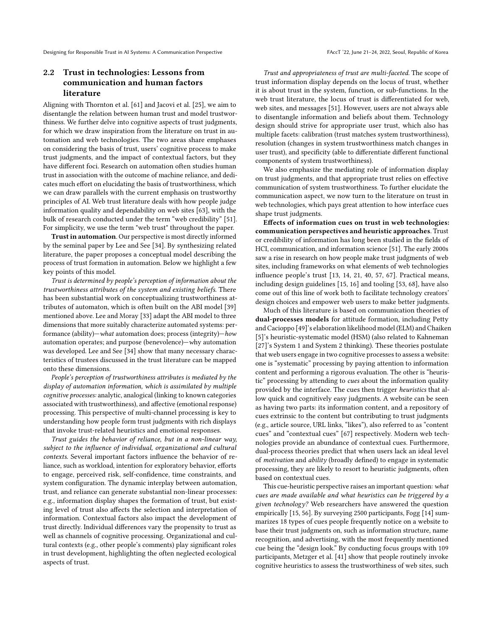## 2.2 Trust in technologies: Lessons from communication and human factors literature

Aligning with Thornton et al. [\[61\]](#page-11-13) and Jacovi et al. [\[25\]](#page-10-10), we aim to disentangle the relation between human trust and model trustworthiness. We further delve into cognitive aspects of trust judgments, for which we draw inspiration from the literature on trust in automation and web technologies. The two areas share emphases on considering the basis of trust, users' cognitive process to make trust judgments, and the impact of contextual factors, but they have different foci. Research on automation often studies human trust in association with the outcome of machine reliance, and dedicates much effort on elucidating the basis of trustworthiness, which we can draw parallels with the current emphasis on trustworthy principles of AI. Web trust literature deals with how people judge information quality and dependability on web sites [\[63\]](#page-11-15), with the bulk of research conducted under the term "web credibility" [\[51\]](#page-11-16). For simplicity, we use the term "web trust" throughout the paper.

Trust in automation. Our perspective is most directly informed by the seminal paper by Lee and See [\[34\]](#page-11-4). By synthesizing related literature, the paper proposes a conceptual model describing the process of trust formation in automation. Below we highlight a few key points of this model.

Trust is determined by people's perception of information about the trustworthiness attributes of the system and existing beliefs. There has been substantial work on conceptualizing trustworthiness attributes of automaton, which is often built on the ABI model [\[39\]](#page-11-10) mentioned above. Lee and Moray [\[33\]](#page-11-17) adapt the ABI model to three dimensions that more suitably characterize automated systems: performance (ability)—what automation does; process (integrity)—how automation operates; and purpose (benevolence)—why automation was developed. Lee and See [\[34\]](#page-11-4) show that many necessary characteristics of trustees discussed in the trust literature can be mapped onto these dimensions.

People's perception of trustworthiness attributes is mediated by the display of automation information, which is assimilated by multiple cognitive processes: analytic, analogical (linking to known categories associated with trustworthiness), and affective (emotional response) processing. This perspective of multi-channel processing is key to understanding how people form trust judgments with rich displays that invoke trust-related heuristics and emotional responses.

Trust guides the behavior of reliance, but in a non-linear way, subject to the influence of individual, organizational and cultural contexts. Several important factors influence the behavior of reliance, such as workload, intention for exploratory behavior, efforts to engage, perceived risk, self-confidence, time constraints, and system configuration. The dynamic interplay between automation, trust, and reliance can generate substantial non-linear processes: e.g., information display shapes the formation of trust, but existing level of trust also affects the selection and interpretation of information. Contextual factors also impact the development of trust directly. Individual differences vary the propensity to trust as well as channels of cognitive processing. Organizational and cultural contexts (e.g., other people's comments) play significant roles in trust development, highlighting the often neglected ecological aspects of trust.

Trust and appropriateness of trust are multi-faceted. The scope of trust information display depends on the locus of trust, whether it is about trust in the system, function, or sub-functions. In the web trust literature, the locus of trust is differentiated for web, web sites, and messages [\[51\]](#page-11-16). However, users are not always able to disentangle information and beliefs about them. Technology design should strive for appropriate user trust, which also has multiple facets: calibration (trust matches system trustworthiness), resolution (changes in system trustworthiness match changes in user trust), and specificity (able to differentiate different functional components of system trustworthiness).

We also emphasize the mediating role of information display on trust judgments, and that appropriate trust relies on effective communication of system trustworthiness. To further elucidate the communication aspect, we now turn to the literature on trust in web technologies, which pays great attention to how interface cues shape trust judgments.

Effects of information cues on trust in web technologies: communication perspectives and heuristic approaches. Trust or credibility of information has long been studied in the fields of HCI, communication, and information science [\[51\]](#page-11-16). The early 2000s saw a rise in research on how people make trust judgments of web sites, including frameworks on what elements of web technologies influence people's trust [\[13,](#page-10-11) [14,](#page-10-12) [21,](#page-10-13) [40,](#page-11-18) [57,](#page-11-19) [67\]](#page-11-20). Practical means, including design guidelines [\[15,](#page-10-14) [16\]](#page-10-15) and tooling [\[53,](#page-11-21) [68\]](#page-11-22), have also come out of this line of work both to facilitate technology creators' design choices and empower web users to make better judgments.

Much of this literature is based on communication theories of dual-processes models for attitude formation, including Petty and Cacioppo [\[49\]](#page-11-23)'s elaboration likelihood model (ELM) and Chaiken [\[5\]](#page-10-16)'s heuristic-systematic model (HSM) (also related to Kahneman [\[27\]](#page-10-17)'s System 1 and System 2 thinking). These theories postulate that web users engage in two cognitive processes to assess a website: one is "systematic" processing by paying attention to information content and performing a rigorous evaluation. The other is "heuristic" processing by attending to cues about the information quality provided by the interface. The cues then trigger heuristics that allow quick and cognitively easy judgments. A website can be seen as having two parts: its information content, and a repository of cues extrinsic to the content but contributing to trust judgments (e.g., article source, URL links, "likes"), also referred to as "content cues" and "contextual cues" [\[67\]](#page-11-20) respectively. Modern web technologies provide an abundance of contextual cues. Furthermore, dual-process theories predict that when users lack an ideal level of motivation and ability (broadly defined) to engage in systematic processing, they are likely to resort to heuristic judgments, often based on contextual cues.

This cue-heuristic perspective raises an important question: what cues are made available and what heuristics can be triggered by a given technology? Web researchers have answered the question empirically [\[15,](#page-10-14) [56\]](#page-11-24). By surveying 2500 participants, Fogg [\[14\]](#page-10-12) summarizes 18 types of cues people frequently notice on a website to base their trust judgments on, such as information structure, name recognition, and advertising, with the most frequently mentioned cue being the "design look." By conducting focus groups with 109 participants, Metzger et al. [\[41\]](#page-11-25) show that people routinely invoke cognitive heuristics to assess the trustworthiness of web sites, such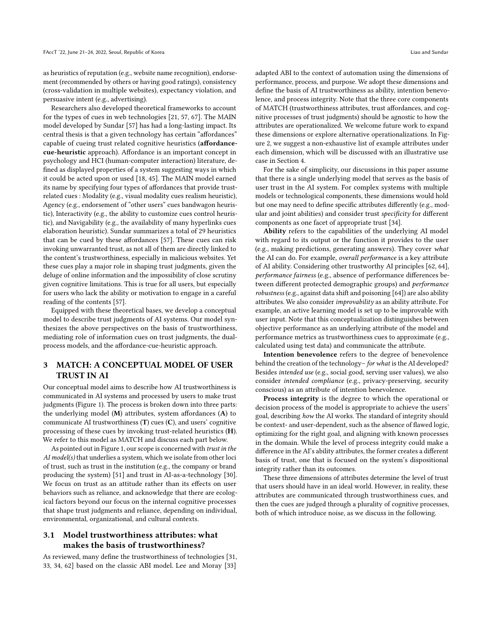as heuristics of reputation (e.g., website name recognition), endorsement (recommended by others or having good ratings), consistency (cross-validation in multiple websites), expectancy violation, and persuasive intent (e.g., advertising).

Researchers also developed theoretical frameworks to account for the types of cues in web technologies [\[21,](#page-10-13) [57,](#page-11-19) [67\]](#page-11-20). The MAIN model developed by Sundar [\[57\]](#page-11-19) has had a long-lasting impact. Its central thesis is that a given technology has certain "affordances" capable of cueing trust related cognitive heuristics (affordancecue-heuristic approach). Affordance is an important concept in psychology and HCI (human-computer interaction) literature, defined as displayed properties of a system suggesting ways in which it could be acted upon or used [\[18,](#page-10-18) [45\]](#page-11-26). The MAIN model earned its name by specifying four types of affordances that provide trustrelated cues : Modality (e.g., visual modality cues realism heuristic), Agency (e.g., endorsement of "other users" cues bandwagon heuristic), Interactivity (e.g., the ability to customize cues control heuristic), and Navigability (e.g., the availability of many hyperlinks cues elaboration heuristic). Sundar summarizes a total of 29 heuristics that can be cued by these affordances [\[57\]](#page-11-19). These cues can risk invoking unwarranted trust, as not all of them are directly linked to the content's trustworthiness, especially in malicious websites. Yet these cues play a major role in shaping trust judgments, given the deluge of online information and the impossibility of close scrutiny given cognitive limitations. This is true for all users, but especially for users who lack the ability or motivation to engage in a careful reading of the contents [\[57\]](#page-11-19).

Equipped with these theoretical bases, we develop a conceptual model to describe trust judgments of AI systems. Our model synthesizes the above perspectives on the basis of trustworthiness, mediating role of information cues on trust judgments, the dualprocess models, and the affordance-cue-heuristic approach.

## 3 MATCH: A CONCEPTUAL MODEL OF USER TRUST IN AI

Our conceptual model aims to describe how AI trustworthiness is communicated in AI systems and processed by users to make trust judgments (Figure [1\)](#page-4-0). The process is broken down into three parts: the underlying model (M) attributes, system affordances (A) to communicate AI trustworthiness (T) cues (C), and users' cognitive processing of these cues by invoking trust-related heuristics (H). We refer to this model as MATCH and discuss each part below.

As pointed out in Figure [1,](#page-4-0) our scope is concerned with trust in the AI model(s) that underlies a system, which we isolate from other loci of trust, such as trust in the institution (e.g., the company or brand producing the system) [\[51\]](#page-11-16) and trust in AI-as-a-technology [\[30\]](#page-10-8). We focus on trust as an attitude rather than its effects on user behaviors such as reliance, and acknowledge that there are ecological factors beyond our focus on the internal cognitive processes that shape trust judgments and reliance, depending on individual, environmental, organizational, and cultural contexts.

#### 3.1 Model trustworthiness attributes: what makes the basis of trustworthiness?

As reviewed, many define the trustworthiness of technologies [\[31,](#page-10-19) [33,](#page-11-17) [34,](#page-11-4) [62\]](#page-11-1) based on the classic ABI model. Lee and Moray [\[33\]](#page-11-17)

adapted ABI to the context of automation using the dimensions of performance, process, and purpose. We adopt these dimensions and define the basis of AI trustworthiness as ability, intention benevolence, and process integrity. Note that the three core components of MATCH (trustworthiness attributes, trust affordances, and cognitive processes of trust judgments) should be agnostic to how the attributes are operationalized. We welcome future work to expand these dimensions or explore alternative operationalizations. In Figure [2,](#page-6-0) we suggest a non-exhaustive list of example attributes under each dimension, which will be discussed with an illustrative use case in Section 4.

For the sake of simplicity, our discussions in this paper assume that there is a single underlying model that serves as the basis of user trust in the AI system. For complex systems with multiple models or technological components, these dimensions would hold but one may need to define specific attributes differently (e.g., modular and joint abilities) and consider trust specificity for different components as one facet of appropriate trust [\[34\]](#page-11-4).

Ability refers to the capabilities of the underlying AI model with regard to its output or the function it provides to the user (e.g., making predictions, generating answers). They cover what the AI can do. For example, overall performance is a key attribute of AI ability. Considering other trustworthy AI principles [\[62,](#page-11-1) [64\]](#page-11-2), performance fairness (e.g., absence of performance differences between different protected demographic groups) and performance robustness (e.g., against data shift and poisoning [\[64\]](#page-11-2)) are also ability attributes. We also consider improvability as an ability attribute. For example, an active learning model is set up to be improvable with user input. Note that this conceptualization distinguishes between objective performance as an underlying attribute of the model and performance metrics as trustworthiness cues to approximate (e.g., calculated using test data) and communicate the attribute.

Intention benevolence refers to the degree of benevolence behind the creation of the technology– for what is the AI developed? Besides intended use (e.g., social good, serving user values), we also consider intended compliance (e.g., privacy-preserving, security conscious) as an attribute of intention benevolence.

Process integrity is the degree to which the operational or decision process of the model is appropriate to achieve the users' goal, describing how the AI works. The standard of integrity should be context- and user-dependent, such as the absence of flawed logic, optimizing for the right goal, and aligning with known processes in the domain. While the level of process integrity could make a difference in the AI's ability attributes, the former creates a different basis of trust, one that is focused on the system's dispositional integrity rather than its outcomes.

These three dimensions of attributes determine the level of trust that users should have in an ideal world. However, in reality, these attributes are communicated through trustworthiness cues, and then the cues are judged through a plurality of cognitive processes, both of which introduce noise, as we discuss in the following.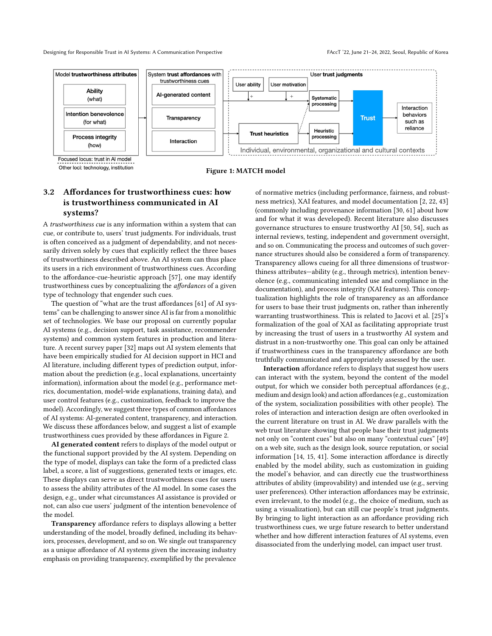<span id="page-4-0"></span>

Other loci: technology, institution

Figure 1: MATCH model

## 3.2 Affordances for trustworthiness cues: how is trustworthiness communicated in AI systems?

A trustworthiness cue is any information within a system that can cue, or contribute to, users' trust judgments. For individuals, trust is often conceived as a judgment of dependability, and not necessarily driven solely by cues that explicitly reflect the three bases of trustworthiness described above. An AI system can thus place its users in a rich environment of trustworthiness cues. According to the affordance-cue-heuristic approach [\[57\]](#page-11-19), one may identify trustworthiness cues by conceptualizing the affordances of a given type of technology that engender such cues.

The question of "what are the trust affordances [\[61\]](#page-11-13) of AI systems" can be challenging to answer since AI is far from a monolithic set of technologies. We base our proposal on currently popular AI systems (e.g., decision support, task assistance, recommender systems) and common system features in production and literature. A recent survey paper [\[32\]](#page-10-20) maps out AI system elements that have been empirically studied for AI decision support in HCI and AI literature, including different types of prediction output, information about the prediction (e.g., local explanations, uncertainty information), information about the model (e.g., performance metrics, documentation, model-wide explanations, training data), and user control features (e.g., customization, feedback to improve the model). Accordingly, we suggest three types of common affordances of AI systems: AI-generated content, transparency, and interaction. We discuss these affordances below, and suggest a list of example trustworthiness cues provided by these affordances in Figure [2.](#page-6-0)

AI generated content refers to displays of the model output or the functional support provided by the AI system. Depending on the type of model, displays can take the form of a predicted class label, a score, a list of suggestions, generated texts or images, etc. These displays can serve as direct trustworthiness cues for users to assess the ability attributes of the AI model. In some cases the design, e.g., under what circumstances AI assistance is provided or not, can also cue users' judgment of the intention benevolence of the model.

Transparency affordance refers to displays allowing a better understanding of the model, broadly defined, including its behaviors, processes, development, and so on. We single out transparency as a unique affordance of AI systems given the increasing industry emphasis on providing transparency, exemplified by the prevalence

of normative metrics (including performance, fairness, and robustness metrics), XAI features, and model documentation [\[2,](#page-10-21) [22,](#page-10-22) [43\]](#page-11-27) (commonly including provenance information [\[30,](#page-10-8) [61\]](#page-11-13) about how and for what it was developed). Recent literature also discusses governance structures to ensure trustworthy AI [\[50,](#page-11-28) [54\]](#page-11-11), such as internal reviews, testing, independent and government oversight, and so on. Communicating the process and outcomes of such governance structures should also be considered a form of transparency. Transparency allows cueing for all three dimensions of trustworthiness attributes—ability (e.g., through metrics), intention benevolence (e.g., communicating intended use and compliance in the documentation), and process integrity (XAI features). This conceptualization highlights the role of transparency as an affordance for users to base their trust judgments on, rather than inherently warranting trustworthiness. This is related to Jacovi et al. [\[25\]](#page-10-10)'s formalization of the goal of XAI as facilitating appropriate trust by increasing the trust of users in a trustworthy AI system and distrust in a non-trustworthy one. This goal can only be attained if trustworthiness cues in the transparency affordance are both truthfully communicated and appropriately assessed by the user.

Interaction affordance refers to displays that suggest how users can interact with the system, beyond the content of the model output, for which we consider both perceptual affordances (e.g., medium and design look) and action affordances (e.g., customization of the system, socialization possibilities with other people). The roles of interaction and interaction design are often overlooked in the current literature on trust in AI. We draw parallels with the web trust literature showing that people base their trust judgments not only on "content cues" but also on many "contextual cues" [\[49\]](#page-11-23) on a web site, such as the design look, source reputation, or social information [\[14,](#page-10-12) [15,](#page-10-14) [41\]](#page-11-25). Some interaction affordance is directly enabled by the model ability, such as customization in guiding the model's behavior, and can directly cue the trustworthiness attributes of ability (improvability) and intended use (e.g., serving user preferences). Other interaction affordances may be extrinsic, even irrelevant, to the model (e.g., the choice of medium, such as using a visualization), but can still cue people's trust judgments. By bringing to light interaction as an affordance providing rich trustworthiness cues, we urge future research to better understand whether and how different interaction features of AI systems, even disassociated from the underlying model, can impact user trust.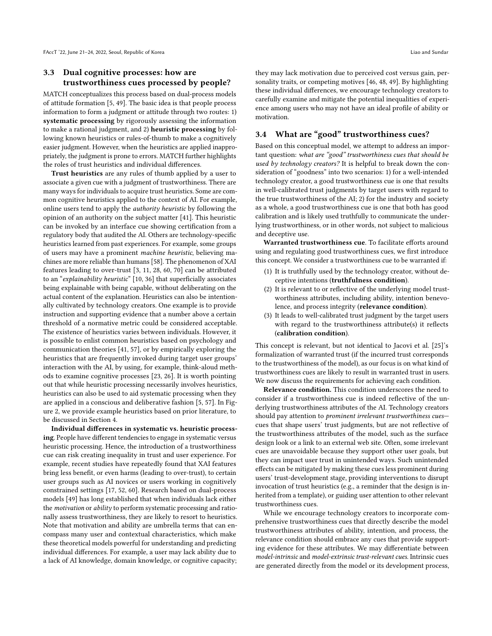#### 3.3 Dual cognitive processes: how are trustworthiness cues processed by people?

MATCH conceptualizes this process based on dual-process models of attitude formation [\[5,](#page-10-16) [49\]](#page-11-23). The basic idea is that people process information to form a judgment or attitude through two routes: 1) systematic processing by rigorously assessing the information to make a rational judgment, and 2) heuristic processing by following known heuristics or rules-of-thumb to make a cognitively easier judgment. However, when the heuristics are applied inappropriately, the judgment is prone to errors. MATCH further highlights the roles of trust heuristics and individual differences.

Trust heuristics are any rules of thumb applied by a user to associate a given cue with a judgment of trustworthiness. There are many ways for individuals to acquire trust heuristics. Some are common cognitive heuristics applied to the context of AI. For example, online users tend to apply the authority heuristic by following the opinion of an authority on the subject matter [\[41\]](#page-11-25). This heuristic can be invoked by an interface cue showing certification from a regulatory body that audited the AI. Others are technology-specific heuristics learned from past experiences. For example, some groups of users may have a prominent machine heuristic, believing machines are more reliable than humans [\[58\]](#page-11-29). The phenomenon of XAI features leading to over-trust [\[3,](#page-10-3) [11,](#page-10-4) [28,](#page-10-5) [60,](#page-11-7) [70\]](#page-11-8) can be attributed to an "explainability heuristic" [\[10,](#page-10-23) [36\]](#page-11-30) that superficially associates being explainable with being capable, without deliberating on the actual content of the explanation. Heuristics can also be intentionally cultivated by technology creators. One example is to provide instruction and supporting evidence that a number above a certain threshold of a normative metric could be considered acceptable. The existence of heuristics varies between individuals. However, it is possible to enlist common heuristics based on psychology and communication theories [\[41,](#page-11-25) [57\]](#page-11-19), or by empirically exploring the heuristics that are frequently invoked during target user groups' interaction with the AI, by using, for example, think-aloud methods to examine cognitive processes [\[23,](#page-10-24) [26\]](#page-10-25). It is worth pointing out that while heuristic processing necessarily involves heuristics, heuristics can also be used to aid systematic processing when they are applied in a conscious and deliberative fashion [\[5,](#page-10-16) [57\]](#page-11-19). In Figure [2,](#page-6-0) we provide example heuristics based on prior literature, to be discussed in Section 4.

Individual differences in systematic vs. heuristic processing. People have different tendencies to engage in systematic versus heuristic processing. Hence, the introduction of a trustworthiness cue can risk creating inequality in trust and user experience. For example, recent studies have repeatedly found that XAI features bring less benefit, or even harms (leading to over-trust), to certain user groups such as AI novices or users working in cognitively constrained settings [\[17,](#page-10-6) [52,](#page-11-9) [60\]](#page-11-7). Research based on dual-process models [\[49\]](#page-11-23) has long established that when individuals lack either the motivation or ability to perform systematic processing and rationally assess trustworthiness, they are likely to resort to heuristics. Note that motivation and ability are umbrella terms that can encompass many user and contextual characteristics, which make these theoretical models powerful for understanding and predicting individual differences. For example, a user may lack ability due to a lack of AI knowledge, domain knowledge, or cognitive capacity;

they may lack motivation due to perceived cost versus gain, personality traits, or competing motives [\[46,](#page-11-31) [48,](#page-11-32) [49\]](#page-11-23). By highlighting these individual differences, we encourage technology creators to carefully examine and mitigate the potential inequalities of experience among users who may not have an ideal profile of ability or motivation.

#### 3.4 What are "good" trustworthiness cues?

Based on this conceptual model, we attempt to address an important question: what are "good" trustworthiness cues that should be used by technology creators? It is helpful to break down the consideration of "goodness" into two scenarios: 1) for a well-intended technology creator, a good trustworthiness cue is one that results in well-calibrated trust judgments by target users with regard to the true trustworthiness of the AI; 2) for the industry and society as a whole, a good trustworthiness cue is one that both has good calibration and is likely used truthfully to communicate the underlying trustworthiness, or in other words, not subject to malicious and deceptive use.

Warranted trustworthiness cue. To facilitate efforts around using and regulating good trustworthiness cues, we first introduce this concept. We consider a trustworthiness cue to be warranted if:

- (1) It is truthfully used by the technology creator, without deceptive intentions (truthfulness condition).
- (2) It is relevant to or reflective of the underlying model trustworthiness attributes, including ability, intention benevolence, and process integrity (relevance condition).
- (3) It leads to well-calibrated trust judgment by the target users with regard to the trustworthiness attribute(s) it reflects (calibration condition).

This concept is relevant, but not identical to Jacovi et al. [\[25\]](#page-10-10)'s formalization of warranted trust (if the incurred trust corresponds to the trustworthiness of the model), as our focus is on what kind of trustworthiness cues are likely to result in warranted trust in users. We now discuss the requirements for achieving each condition.

Relevance condition. This condition underscores the need to consider if a trustworthiness cue is indeed reflective of the underlying trustworthiness attributes of the AI. Technology creators should pay attention to prominent irrelevant trustworthiness cues cues that shape users' trust judgments, but are not reflective of the trustworthiness attributes of the model, such as the surface design look or a link to an external web site. Often, some irrelevant cues are unavoidable because they support other user goals, but they can impact user trust in unintended ways. Such unintended effects can be mitigated by making these cues less prominent during users' trust-development stage, providing interventions to disrupt invocation of trust heuristics (e.g., a reminder that the design is inherited from a template), or guiding user attention to other relevant trustworthiness cues.

While we encourage technology creators to incorporate comprehensive trustworthiness cues that directly describe the model trustworthiness attributes of ability, intention, and process, the relevance condition should embrace any cues that provide supporting evidence for these attributes. We may differentiate between model-intrinsic and model-extrinsic trust-relevant cues. Intrinsic cues are generated directly from the model or its development process,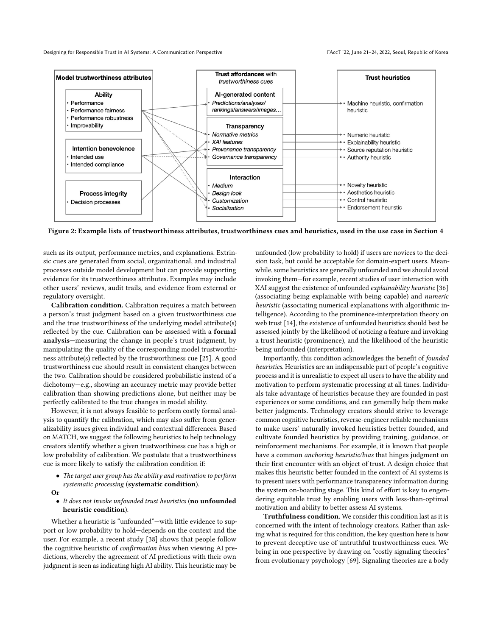Designing for Responsible Trust in AI Systems: A Communication Perspective FACCT '22, June 21-24, 2022, Seoul, Republic of Korea

<span id="page-6-0"></span>

Figure 2: Example lists of trustworthiness attributes, trustworthiness cues and heuristics, used in the use case in Section 4

such as its output, performance metrics, and explanations. Extrinsic cues are generated from social, organizational, and industrial processes outside model development but can provide supporting evidence for its trustworthiness attributes. Examples may include other users' reviews, audit trails, and evidence from external or regulatory oversight.

Calibration condition. Calibration requires a match between a person's trust judgment based on a given trustworthiness cue and the true trustworthiness of the underlying model attribute(s) reflected by the cue. Calibration can be assessed with a formal analysis—measuring the change in people's trust judgment, by manipulating the quality of the corresponding model trustworthiness attribute(s) reflected by the trustworthiness cue [\[25\]](#page-10-10). A good trustworthiness cue should result in consistent changes between the two. Calibration should be considered probabilistic instead of a dichotomy—e.g., showing an accuracy metric may provide better calibration than showing predictions alone, but neither may be perfectly calibrated to the true changes in model ability.

However, it is not always feasible to perform costly formal analysis to quantify the calibration, which may also suffer from generalizability issues given individual and contextual differences. Based on MATCH, we suggest the following heuristics to help technology creators identify whether a given trustworthiness cue has a high or low probability of calibration. We postulate that a trustworthiness cue is more likely to satisfy the calibration condition if:

- The target user group has the ability and motivation to perform systematic processing (systematic condition).
- Or
- It does not invoke unfounded trust heuristics (no unfounded heuristic condition).

Whether a heuristic is "unfounded"—with little evidence to support or low probability to hold—depends on the context and the user. For example, a recent study [\[38\]](#page-11-33) shows that people follow the cognitive heuristic of confirmation bias when viewing AI predictions, whereby the agreement of AI predictions with their own judgment is seen as indicating high AI ability. This heuristic may be

unfounded (low probability to hold) if users are novices to the decision task, but could be acceptable for domain-expert users. Meanwhile, some heuristics are generally unfounded and we should avoid invoking them—for example, recent studies of user interaction with XAI suggest the existence of unfounded explainability heuristic [\[36\]](#page-11-30) (associating being explainable with being capable) and numeric heuristic (associating numerical explanations with algorithmic intelligence). According to the prominence-interpretation theory on web trust [\[14\]](#page-10-12), the existence of unfounded heuristics should best be assessed jointly by the likelihood of noticing a feature and invoking a trust heuristic (prominence), and the likelihood of the heuristic being unfounded (interpretation).

Importantly, this condition acknowledges the benefit of founded heuristics. Heuristics are an indispensable part of people's cognitive process and it is unrealistic to expect all users to have the ability and motivation to perform systematic processing at all times. Individuals take advantage of heuristics because they are founded in past experiences or some conditions, and can generally help them make better judgments. Technology creators should strive to leverage common cognitive heuristics, reverse-engineer reliable mechanisms to make users' naturally invoked heuristics better founded, and cultivate founded heuristics by providing training, guidance, or reinforcement mechanisms. For example, it is known that people have a common anchoring heuristic/bias that hinges judgment on their first encounter with an object of trust. A design choice that makes this heuristic better founded in the context of AI systems is to present users with performance transparency information during the system on-boarding stage. This kind of effort is key to engendering equitable trust by enabling users with less-than-optimal motivation and ability to better assess AI systems.

Truthfulness condition. We consider this condition last as it is concerned with the intent of technology creators. Rather than asking what is required for this condition, the key question here is how to prevent deceptive use of untruthful trustworthiness cues. We bring in one perspective by drawing on "costly signaling theories" from evolutionary psychology [\[69\]](#page-11-34). Signaling theories are a body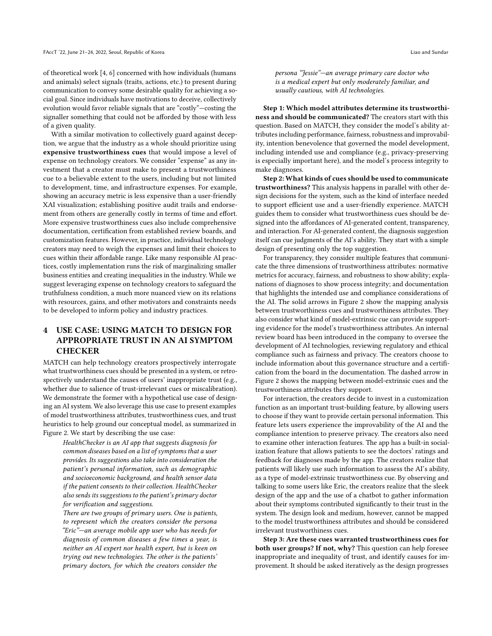of theoretical work [\[4,](#page-10-26) [6\]](#page-10-27) concerned with how individuals (humans and animals) select signals (traits, actions, etc.) to present during communication to convey some desirable quality for achieving a social goal. Since individuals have motivations to deceive, collectively evolution would favor reliable signals that are "costly"—costing the signaller something that could not be afforded by those with less of a given quality.

With a similar motivation to collectively guard against deception, we argue that the industry as a whole should prioritize using expensive trustworthiness cues that would impose a level of expense on technology creators. We consider "expense" as any investment that a creator must make to present a trustworthiness cue to a believable extent to the users, including but not limited to development, time, and infrastructure expenses. For example, showing an accuracy metric is less expensive than a user-friendly XAI visualization; establishing positive audit trails and endorsement from others are generally costly in terms of time and effort. More expensive trustworthiness cues also include comprehensive documentation, certification from established review boards, and customization features. However, in practice, individual technology creators may need to weigh the expenses and limit their choices to cues within their affordable range. Like many responsible AI practices, costly implementation runs the risk of marginalizing smaller business entities and creating inequalities in the industry. While we suggest leveraging expense on technology creators to safeguard the truthfulness condition, a much more nuanced view on its relations with resources, gains, and other motivators and constraints needs to be developed to inform policy and industry practices.

# 4 USE CASE: USING MATCH TO DESIGN FOR APPROPRIATE TRUST IN AN AI SYMPTOM **CHECKER**

MATCH can help technology creators prospectively interrogate what trustworthiness cues should be presented in a system, or retrospectively understand the causes of users' inappropriate trust (e.g., whether due to salience of trust-irrelevant cues or miscalibration). We demonstrate the former with a hypothetical use case of designing an AI system. We also leverage this use case to present examples of model trustworthiness attributes, trustworthiness cues, and trust heuristics to help ground our conceptual model, as summarized in Figure [2.](#page-6-0) We start by describing the use case:

HealthChecker is an AI app that suggests diagnosis for common diseases based on a list of symptoms that a user provides. Its suggestions also take into consideration the patient's personal information, such as demographic and socioeconomic background, and health sensor data if the patient consents to their collection. HealthChecker also sends its suggestions to the patient's primary doctor for verification and suggestions.

There are two groups of primary users. One is patients, to represent which the creators consider the persona "Eric"—an average mobile app user who has needs for diagnosis of common diseases a few times a year, is neither an AI expert nor health expert, but is keen on trying out new technologies. The other is the patients' primary doctors, for which the creators consider the persona "Jessie"—an average primary care doctor who is a medical expert but only moderately familiar, and usually cautious, with AI technologies.

Step 1: Which model attributes determine its trustworthiness and should be communicated? The creators start with this question. Based on MATCH, they consider the model's ability attributes including performance, fairness, robustness and improvability, intention benevolence that governed the model development, including intended use and compliance (e.g., privacy-preserving is especially important here), and the model's process integrity to make diagnoses.

Step 2: What kinds of cues should be used to communicate trustworthiness? This analysis happens in parallel with other design decisions for the system, such as the kind of interface needed to support efficient use and a user-friendly experience. MATCH guides them to consider what trustworthiness cues should be designed into the affordances of AI-generated content, transparency, and interaction. For AI-generated content, the diagnosis suggestion itself can cue judgments of the AI's ability. They start with a simple design of presenting only the top suggestion.

For transparency, they consider multiple features that communicate the three dimensions of trustworthiness attributes: normative metrics for accuracy, fairness, and robustness to show ability; explanations of diagnoses to show process integrity; and documentation that highlights the intended use and compliance considerations of the AI. The solid arrows in Figure [2](#page-6-0) show the mapping analysis between trustworthiness cues and trustworthiness attributes. They also consider what kind of model-extrinsic cue can provide supporting evidence for the model's trustworthiness attributes. An internal review board has been introduced in the company to oversee the development of AI technologies, reviewing regulatory and ethical compliance such as fairness and privacy. The creators choose to include information about this governance structure and a certification from the board in the documentation. The dashed arrow in Figure [2](#page-6-0) shows the mapping between model-extrinsic cues and the trustworthiness attributes they support.

For interaction, the creators decide to invest in a customization function as an important trust-building feature, by allowing users to choose if they want to provide certain personal information. This feature lets users experience the improvability of the AI and the compliance intention to preserve privacy. The creators also need to examine other interaction features. The app has a built-in socialization feature that allows patients to see the doctors' ratings and feedback for diagnoses made by the app. The creators realize that patients will likely use such information to assess the AI's ability, as a type of model-extrinsic trustworthiness cue. By observing and talking to some users like Eric, the creators realize that the sleek design of the app and the use of a chatbot to gather information about their symptoms contributed significantly to their trust in the system. The design look and medium, however, cannot be mapped to the model trustworthiness attributes and should be considered irrelevant trustworthiness cues.

Step 3: Are these cues warranted trustworthiness cues for both user groups? If not, why? This question can help foresee inappropriate and inequality of trust, and identify causes for improvement. It should be asked iteratively as the design progresses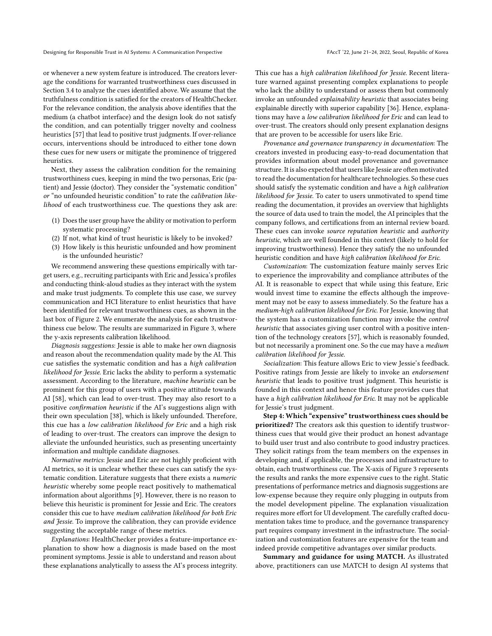or whenever a new system feature is introduced. The creators leverage the conditions for warranted trustworthiness cues discussed in Section 3.4 to analyze the cues identified above. We assume that the truthfulness condition is satisfied for the creators of HealthChecker. For the relevance condition, the analysis above identifies that the medium (a chatbot interface) and the design look do not satisfy the condition, and can potentially trigger novelty and coolness heuristics [\[57\]](#page-11-19) that lead to positive trust judgments. If over-reliance occurs, interventions should be introduced to either tone down these cues for new users or mitigate the prominence of triggered heuristics.

Next, they assess the calibration condition for the remaining trustworthiness cues, keeping in mind the two personas, Eric (patient) and Jessie (doctor). They consider the "systematic condition" or "no unfounded heuristic condition" to rate the calibration likelihood of each trustworthiness cue. The questions they ask are:

- (1) Does the user group have the ability or motivation to perform systematic processing?
- (2) If not, what kind of trust heuristic is likely to be invoked?
- (3) How likely is this heuristic unfounded and how prominent is the unfounded heuristic?

We recommend answering these questions empirically with target users, e.g., recruiting participants with Eric and Jessica's profiles and conducting think-aloud studies as they interact with the system and make trust judgments. To complete this use case, we survey communication and HCI literature to enlist heuristics that have been identified for relevant trustworthiness cues, as shown in the last box of Figure [2.](#page-6-0) We enumerate the analysis for each trustworthiness cue below. The results are summarized in Figure [3,](#page-9-0) where the y-axis represents calibration likelihood.

Diagnosis suggestions: Jessie is able to make her own diagnosis and reason about the recommendation quality made by the AI. This cue satisfies the systematic condition and has a high calibration likelihood for Jessie. Eric lacks the ability to perform a systematic assessment. According to the literature, machine heuristic can be prominent for this group of users with a positive attitude towards AI [\[58\]](#page-11-29), which can lead to over-trust. They may also resort to a positive confirmation heuristic if the AI's suggestions align with their own speculation [\[38\]](#page-11-33), which is likely unfounded. Therefore, this cue has a low calibration likelihood for Eric and a high risk of leading to over-trust. The creators can improve the design to alleviate the unfounded heuristics, such as presenting uncertainty information and multiple candidate diagnoses.

Normative metrics: Jessie and Eric are not highly proficient with AI metrics, so it is unclear whether these cues can satisfy the systematic condition. Literature suggests that there exists a numeric heuristic whereby some people react positively to mathematical information about algorithms [\[9\]](#page-10-28). However, there is no reason to believe this heuristic is prominent for Jessie and Eric. The creators consider this cue to have medium calibration likelihood for both Eric and Jessie. To improve the calibration, they can provide evidence suggesting the acceptable range of these metrics.

Explanations: HealthChecker provides a feature-importance explanation to show how a diagnosis is made based on the most prominent symptoms. Jessie is able to understand and reason about these explanations analytically to assess the AI's process integrity.

This cue has a high calibration likelihood for Jessie. Recent literature warned against presenting complex explanations to people who lack the ability to understand or assess them but commonly invoke an unfounded explainability heuristic that associates being explainable directly with superior capability [\[36\]](#page-11-30). Hence, explanations may have a low calibration likelihood for Eric and can lead to over-trust. The creators should only present explanation designs that are proven to be accessible for users like Eric.

Provenance and governance transparency in documentation: The creators invested in producing easy-to-read documentation that provides information about model provenance and governance structure. It is also expected that users like Jessie are often motivated to read the documentation for healthcare technologies. So these cues should satisfy the systematic condition and have a high calibration likelihood for Jessie. To cater to users unmotivated to spend time reading the documentation, it provides an overview that highlights the source of data used to train the model, the AI principles that the company follows, and certifications from an internal review board. These cues can invoke source reputation heuristic and authority heuristic, which are well founded in this context (likely to hold for improving trustworthiness). Hence they satisfy the no unfounded heuristic condition and have high calibration likelihood for Eric.

Customization: The customization feature mainly serves Eric to experience the improvability and compliance attributes of the AI. It is reasonable to expect that while using this feature, Eric would invest time to examine the effects although the improvement may not be easy to assess immediately. So the feature has a medium-high calibration likelihood for Eric. For Jessie, knowing that the system has a customization function may invoke the control heuristic that associates giving user control with a positive intention of the technology creators [\[57\]](#page-11-19), which is reasonably founded, but not necessarily a prominent one. So the cue may have a medium calibration likelihood for Jessie.

Socialization: This feature allows Eric to view Jessie's feedback. Positive ratings from Jessie are likely to invoke an endorsement heuristic that leads to positive trust judgment. This heuristic is founded in this context and hence this feature provides cues that have a high calibration likelihood for Eric. It may not be applicable for Jessie's trust judgment.

Step 4: Which "expensive" trustworthiness cues should be prioritized? The creators ask this question to identify trustworthiness cues that would give their product an honest advantage to build user trust and also contribute to good industry practices. They solicit ratings from the team members on the expenses in developing and, if applicable, the processes and infrastructure to obtain, each trustworthiness cue. The X-axis of Figure [3](#page-9-0) represents the results and ranks the more expensive cues to the right. Static presentations of performance metrics and diagnosis suggestions are low-expense because they require only plugging in outputs from the model development pipeline. The explanation visualization requires more effort for UI development. The carefully crafted documentation takes time to produce, and the governance transparency part requires company investment in the infrastructure. The socialization and customization features are expensive for the team and indeed provide competitive advantages over similar products.

Summary and guidance for using MATCH. As illustrated above, practitioners can use MATCH to design AI systems that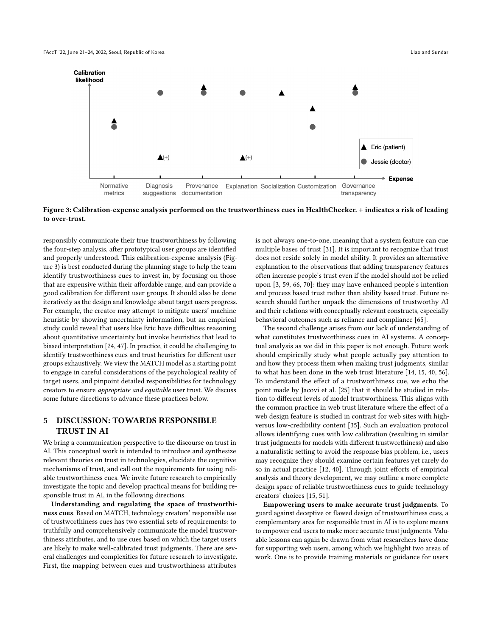<span id="page-9-0"></span>

Figure 3: Calibration-expense analysis performed on the trustworthiness cues in HealthChecker. + indicates a risk of leading to over-trust.

responsibly communicate their true trustworthiness by following the four-step analysis, after prototypical user groups are identified and properly understood. This calibration-expense analysis (Figure [3\)](#page-9-0) is best conducted during the planning stage to help the team identify trustworthiness cues to invest in, by focusing on those that are expensive within their affordable range, and can provide a good calibration for different user groups. It should also be done iteratively as the design and knowledge about target users progress. For example, the creator may attempt to mitigate users' machine heuristic by showing uncertainty information, but an empirical study could reveal that users like Eric have difficulties reasoning about quantitative uncertainty but invoke heuristics that lead to biased interpretation [\[24,](#page-10-29) [47\]](#page-11-35). In practice, it could be challenging to identify trustworthiness cues and trust heuristics for different user groups exhaustively. We view the MATCH model as a starting point to engage in careful considerations of the psychological reality of target users, and pinpoint detailed responsibilities for technology creators to ensure appropriate and equitable user trust. We discuss some future directions to advance these practices below.

## 5 DISCUSSION: TOWARDS RESPONSIBLE TRUST IN AI

We bring a communication perspective to the discourse on trust in AI. This conceptual work is intended to introduce and synthesize relevant theories on trust in technologies, elucidate the cognitive mechanisms of trust, and call out the requirements for using reliable trustworthiness cues. We invite future research to empirically investigate the topic and develop practical means for building responsible trust in AI, in the following directions.

Understanding and regulating the space of trustworthiness cues. Based on MATCH, technology creators' responsible use of trustworthiness cues has two essential sets of requirements: to truthfully and comprehensively communicate the model trustworthiness attributes, and to use cues based on which the target users are likely to make well-calibrated trust judgments. There are several challenges and complexities for future research to investigate. First, the mapping between cues and trustworthiness attributes

is not always one-to-one, meaning that a system feature can cue multiple bases of trust [\[31\]](#page-10-19). It is important to recognize that trust does not reside solely in model ability. It provides an alternative explanation to the observations that adding transparency features often increase people's trust even if the model should not be relied upon [\[3,](#page-10-3) [59,](#page-11-36) [66,](#page-11-37) [70\]](#page-11-8): they may have enhanced people's intention and process based trust rather than ability based trust. Future research should further unpack the dimensions of trustworthy AI and their relations with conceptually relevant constructs, especially behavioral outcomes such as reliance and compliance [\[65\]](#page-11-5).

The second challenge arises from our lack of understanding of what constitutes trustworthiness cues in AI systems. A conceptual analysis as we did in this paper is not enough. Future work should empirically study what people actually pay attention to and how they process them when making trust judgments, similar to what has been done in the web trust literature [\[14,](#page-10-12) [15,](#page-10-14) [40,](#page-11-18) [56\]](#page-11-24). To understand the effect of a trustworthiness cue, we echo the point made by Jacovi et al. [\[25\]](#page-10-10) that it should be studied in relation to different levels of model trustworthiness. This aligns with the common practice in web trust literature where the effect of a web design feature is studied in contrast for web sites with highversus low-credibility content [\[35\]](#page-11-38). Such an evaluation protocol allows identifying cues with low calibration (resulting in similar trust judgments for models with different trustworthiness) and also a naturalistic setting to avoid the response bias problem, i.e., users may recognize they should examine certain features yet rarely do so in actual practice [\[12,](#page-10-30) [40\]](#page-11-18). Through joint efforts of empirical analysis and theory development, we may outline a more complete design space of reliable trustworthiness cues to guide technology creators' choices [\[15,](#page-10-14) [51\]](#page-11-16).

Empowering users to make accurate trust judgments. To guard against deceptive or flawed design of trustworthiness cues, a complementary area for responsible trust in AI is to explore means to empower end users to make more accurate trust judgments. Valuable lessons can again be drawn from what researchers have done for supporting web users, among which we highlight two areas of work. One is to provide training materials or guidance for users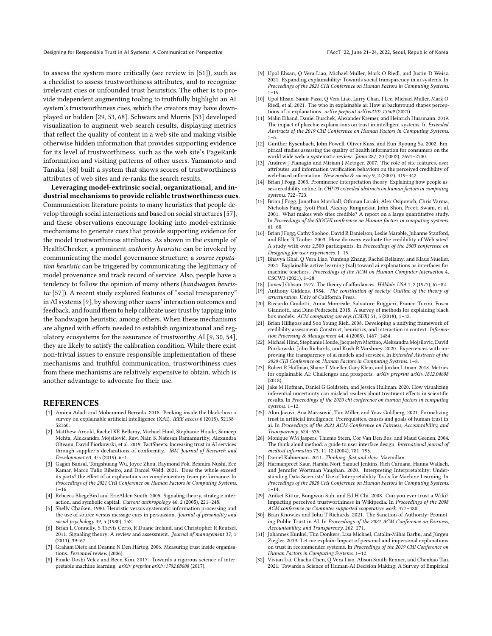Designing for Responsible Trust in AI Systems: A Communication Perspective FACCT '22, June 21-24, 2022, Seoul, Republic of Korea

to assess the system more critically (see review in [\[51\]](#page-11-16)), such as a checklist to assess trustworthiness attributes, and to recognize irrelevant cues or unfounded trust heuristics. The other is to provide independent augmenting tooling to truthfully highlight an AI system's trustworthiness cues, which the creators may have downplayed or hidden [\[29,](#page-10-31) [53,](#page-11-21) [68\]](#page-11-22). Schwarz and Morris [\[53\]](#page-11-21) developed visualization to augment web search results, displaying metrics that reflect the quality of content in a web site and making visible otherwise hidden information that provides supporting evidence for its level of trustworthiness, such as the web site's PageRank information and visiting patterns of other users. Yamamoto and Tanaka [\[68\]](#page-11-22) built a system that shows scores of trustworthiness attributes of web sites and re-ranks the search results.

Leveraging model-extrinsic social, organizational, and industrial mechanisms to provide reliable trustworthiness cues. Communication literature points to many heuristics that people develop through social interactions and based on social structures [\[57\]](#page-11-19), and these observations encourage looking into model-extrinsic mechanisms to generate cues that provide supporting evidence for the model trustworthiness attributes. As shown in the example of HealthChecker, a prominent authority heuristic can be invoked by communicating the model governance structure; a source reputation heuristic can be triggered by communicating the legitimacy of model provenance and track record of service. Also, people have a tendency to follow the opinion of many others (bandwagon heuristic [\[57\]](#page-11-19)). A recent study explored features of "social transparency" in AI systems [\[9\]](#page-10-28), by showing other users' interaction outcomes and feedback, and found them to help calibrate user trust by tapping into the bandwagon heuristic, among others. When these mechanisms are aligned with efforts needed to establish organizational and regulatory ecosystems for the assurance of trustworthy AI [\[9,](#page-10-28) [30,](#page-10-8) [54\]](#page-11-11), they are likely to satisfy the calibration condition. While there exist non-trivial issues to ensure responsible implementation of these mechanisms and truthful communication, trustworthiness cues from these mechanisms are relatively expensive to obtain, which is another advantage to advocate for their use.

#### REFERENCES

- <span id="page-10-0"></span>[1] Amina Adadi and Mohammed Berrada. 2018. Peeking inside the black-box: a survey on explainable artificial intelligence (XAI). IEEE access 6 (2018), 52138-52160.
- <span id="page-10-21"></span>[2] Matthew Arnold, Rachel KE Bellamy, Michael Hind, Stephanie Houde, Sameep Mehta, Aleksandra Mojsilović, Ravi Nair, K Natesan Ramamurthy, Alexandra Olteanu, David Piorkowski, et al. 2019. FactSheets: Increasing trust in AI services through supplier's declarations of conformity. IBM Journal of Research and Development 63, 4/5 (2019), 6–1.
- <span id="page-10-3"></span>[3] Gagan Bansal, Tongshuang Wu, Joyce Zhou, Raymond Fok, Besmira Nushi, Ece Kamar, Marco Tulio Ribeiro, and Daniel Weld. 2021. Does the whole exceed its parts? the effect of ai explanations on complementary team performance. In Proceedings of the 2021 CHI Conference on Human Factors in Computing Systems. 1–16.
- <span id="page-10-26"></span>[4] Rebecca BliegeBird and EricAlden Smith. 2005. Signaling theory, strategic interaction, and symbolic capital. Current anthropology 46, 2 (2005), 221–248.
- <span id="page-10-16"></span>[5] Shelly Chaiken. 1980. Heuristic versus systematic information processing and the use of source versus message cues in persuasion. Journal of personality and social psychology 39, 5 (1980), 752.
- <span id="page-10-27"></span>[6] Brian L Connelly, S Trevis Certo, R Duane Ireland, and Christopher R Reutzel. 2011. Signaling theory: A review and assessment. Journal of management 37, 1 (2011), 39–67.
- <span id="page-10-7"></span>Graham Dietz and Deanne N Den Hartog. 2006. Measuring trust inside organisations. Personnel review (2006).
- <span id="page-10-1"></span>[8] Finale Doshi-Velez and Been Kim. 2017. Towards a rigorous science of interpretable machine learning. arXiv preprint arXiv:1702.08608 (2017).
- <span id="page-10-28"></span>[9] Upol Ehsan, Q Vera Liao, Michael Muller, Mark O Riedl, and Justin D Weisz. 2021. Expanding explainability: Towards social transparency in ai systems. In Proceedings of the 2021 CHI Conference on Human Factors in Computing Systems. 1–19.
- <span id="page-10-23"></span>[10] Upol Ehsan, Samir Passi, Q Vera Liao, Larry Chan, I Lee, Michael Muller, Mark O Riedl, et al. 2021. The who in explainable ai: How ai background shapes perceptions of ai explanations. arXiv preprint arXiv:2107.13509 (2021).
- <span id="page-10-4"></span>[11] Malin Eiband, Daniel Buschek, Alexander Kremer, and Heinrich Hussmann. 2019. The impact of placebic explanations on trust in intelligent systems. In Extended Abstracts of the 2019 CHI Conference on Human Factors in Computing Systems.  $1 - 6.$
- <span id="page-10-30"></span>[12] Gunther Eysenbach, John Powell, Oliver Kuss, and Eun-Ryoung Sa. 2002. Empirical studies assessing the quality of health information for consumers on the world wide web: a systematic review. Jama 287, 20 (2002), 2691–2700.
- <span id="page-10-11"></span>[13] Andrew J Flanagin and Miriam J Metzger. 2007. The role of site features, user attributes, and information verification behaviors on the perceived credibility of web-based information. New media & society 9, 2 (2007), 319–342.
- <span id="page-10-12"></span>[14] Brian J Fogg. 2003. Prominence-interpretation theory: Explaining how people assess credibility online. In CHI'03 extended abstracts on human factors in computing systems. 722–723.
- <span id="page-10-14"></span>[15] Brian J Fogg, Jonathan Marshall, Othman Laraki, Alex Osipovich, Chris Varma, Nicholas Fang, Jyoti Paul, Akshay Rangnekar, John Shon, Preeti Swani, et al. 2001. What makes web sites credible? A report on a large quantitative study. In Proceedings of the SIGCHI conference on Human factors in computing systems. 61–68.
- <span id="page-10-15"></span>[16] Brian J Fogg, Cathy Soohoo, David R Danielson, Leslie Marable, Julianne Stanford, and Ellen R Tauber. 2003. How do users evaluate the credibility of Web sites? A study with over 2,500 participants. In Proceedings of the 2003 conference on Designing for user experiences. 1–15.
- <span id="page-10-6"></span>[17] Bhavya Ghai, Q Vera Liao, Yunfeng Zhang, Rachel Bellamy, and Klaus Mueller. 2021. Explainable active learning (xal) toward ai explanations as interfaces for machine teachers. Proceedings of the ACM on Human-Computer Interaction 4, CSCW3 (2021), 1–28.
- <span id="page-10-18"></span>[18] James J Gibson. 1977. The theory of affordances. Hilldale, USA 1, 2 (1977), 67–82.
- <span id="page-10-9"></span>[19] Anthony Giddens. 1984. The constitution of society: Outline of the theory of structuration. Univ of California Press.
- <span id="page-10-2"></span>[20] Riccardo Guidotti, Anna Monreale, Salvatore Ruggieri, Franco Turini, Fosca Giannotti, and Dino Pedreschi. 2018. A survey of methods for explaining black box models. ACM computing surveys (CSUR) 51, 5 (2018), 1–42.
- <span id="page-10-13"></span>[21] Brian Hilligoss and Soo Young Rieh. 2008. Developing a unifying framework of credibility assessment: Construct, heuristics, and interaction in context. Information Processing & Management 44, 4 (2008), 1467–1484.
- <span id="page-10-22"></span>[22] Michael Hind, Stephanie Houde, Jacquelyn Martino, Aleksandra Mojsilovic, David Piorkowski, John Richards, and Kush R Varshney. 2020. Experiences with improving the transparency of ai models and services. In Extended Abstracts of the 2020 CHI Conference on Human Factors in Computing Systems. 1–8.
- <span id="page-10-24"></span>[23] Robert R Hoffman, Shane T Mueller, Gary Klein, and Jordan Litman. 2018. Metrics for explainable AI: Challenges and prospects. arXiv preprint arXiv:1812.04608 (2018).
- <span id="page-10-29"></span>[24] Jake M Hofman, Daniel G Goldstein, and Jessica Hullman. 2020. How visualizing inferential uncertainty can mislead readers about treatment effects in scientific results. In Proceedings of the 2020 chi conference on human factors in computing systems. 1–12.
- <span id="page-10-10"></span>[25] Alon Jacovi, Ana Marasović, Tim Miller, and Yoav Goldberg. 2021. Formalizing trust in artificial intelligence: Prerequisites, causes and goals of human trust in ai. In Proceedings of the 2021 ACM Conference on Fairness, Accountability, and Transparency. 624–635.
- <span id="page-10-25"></span>[26] Monique WM Jaspers, Thiemo Steen, Cor Van Den Bos, and Maud Geenen. 2004. The think aloud method: a guide to user interface design. International journal of medical informatics 73, 11-12 (2004), 781–795.
- <span id="page-10-17"></span>[27] Daniel Kahneman. 2011. Thinking, fast and slow. Macmillan.
- <span id="page-10-5"></span>[28] Harmanpreet Kaur, Harsha Nori, Samuel Jenkins, Rich Caruana, Hanna Wallach, and Jennifer Wortman Vaughan. 2020. Interpreting Interpretability: Understanding Data Scientists' Use of Interpretability Tools for Machine Learning. In Proceedings of the 2020 CHI Conference on Human Factors in Computing Systems.  $1 - 14.$
- <span id="page-10-31"></span>[29] Aniket Kittur, Bongwon Suh, and Ed H Chi. 2008. Can you ever trust a Wiki? Impacting perceived trustworthiness in Wikipedia. In Proceedings of the 2008 ACM conference on Computer supported cooperative work. 477–480.
- <span id="page-10-8"></span>[30] Bran Knowles and John T Richards, 2021. The Sanction of Authority: Promoting Public Trust in AI. In Proceedings of the 2021 ACM Conference on Fairness, Accountability, and Transparency. 262–271.
- <span id="page-10-19"></span>[31] Johannes Kunkel, Tim Donkers, Lisa Michael, Catalin-Mihai Barbu, and Jürgen Ziegler. 2019. Let me explain: Impact of personal and impersonal explanations on trust in recommender systems. In Proceedings of the 2019 CHI Conference on Human Factors in Computing Systems. 1–12.
- <span id="page-10-20"></span>[32] Vivian Lai, Chacha Chen, Q Vera Liao, Alison Smith-Renner, and Chenhao Tan. 2021. Towards a Science of Human-AI Decision Making: A Survey of Empirical